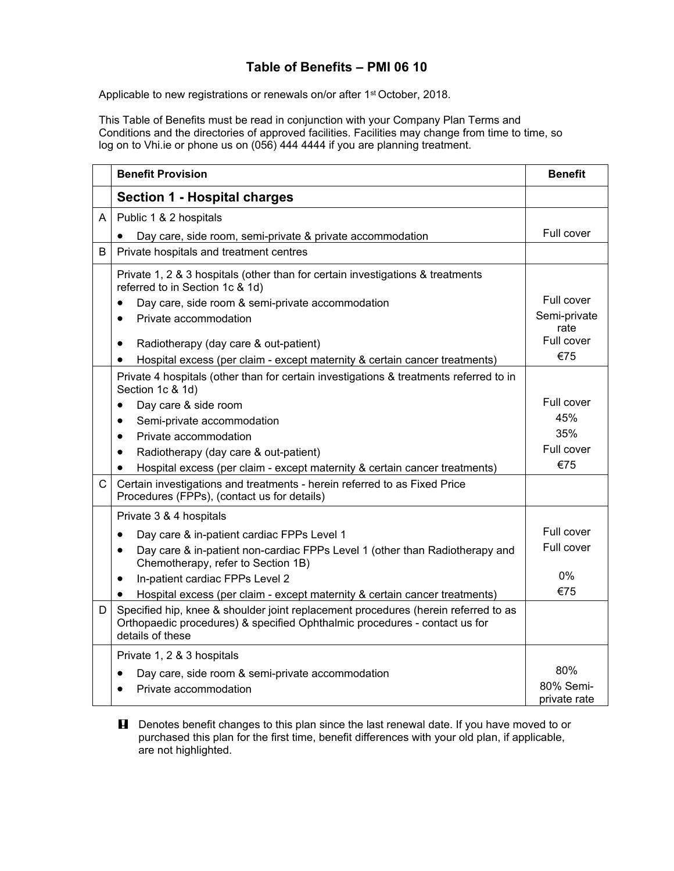## **Table of Benefits – PMI 06 10**

Applicable to new registrations or renewals on/or after 1<sup>st</sup> October, 2018.

This Table of Benefits must be read in conjunction with your Company Plan Terms and Conditions and the directories of approved facilities. Facilities may change from time to time, so log on to Vhi.ie or phone us on (056) 444 4444 if you are planning treatment.

|              | <b>Benefit Provision</b>                                                                                                                                                                                    | <b>Benefit</b>             |
|--------------|-------------------------------------------------------------------------------------------------------------------------------------------------------------------------------------------------------------|----------------------------|
|              | <b>Section 1 - Hospital charges</b>                                                                                                                                                                         |                            |
| A            | Public 1 & 2 hospitals                                                                                                                                                                                      |                            |
|              | Day care, side room, semi-private & private accommodation                                                                                                                                                   | Full cover                 |
| B            | Private hospitals and treatment centres                                                                                                                                                                     |                            |
|              | Private 1, 2 & 3 hospitals (other than for certain investigations & treatments<br>referred to in Section 1c & 1d)<br>Day care, side room & semi-private accommodation<br>Private accommodation<br>$\bullet$ | Full cover<br>Semi-private |
|              | Radiotherapy (day care & out-patient)<br>$\bullet$<br>Hospital excess (per claim - except maternity & certain cancer treatments)<br>$\bullet$                                                               | rate<br>Full cover<br>€75  |
|              | Private 4 hospitals (other than for certain investigations & treatments referred to in<br>Section 1c & 1d)                                                                                                  |                            |
|              | Day care & side room<br>$\bullet$                                                                                                                                                                           | Full cover                 |
|              | Semi-private accommodation<br>$\bullet$                                                                                                                                                                     | 45%                        |
|              | Private accommodation<br>$\bullet$                                                                                                                                                                          | 35%                        |
|              | Radiotherapy (day care & out-patient)<br>$\bullet$                                                                                                                                                          | Full cover                 |
|              | Hospital excess (per claim - except maternity & certain cancer treatments)                                                                                                                                  | €75                        |
| $\mathsf{C}$ | Certain investigations and treatments - herein referred to as Fixed Price<br>Procedures (FPPs), (contact us for details)                                                                                    |                            |
|              | Private 3 & 4 hospitals                                                                                                                                                                                     |                            |
|              | Day care & in-patient cardiac FPPs Level 1<br>$\bullet$                                                                                                                                                     | Full cover                 |
|              | Day care & in-patient non-cardiac FPPs Level 1 (other than Radiotherapy and<br>$\bullet$<br>Chemotherapy, refer to Section 1B)                                                                              | Full cover                 |
|              | In-patient cardiac FPPs Level 2<br>٠                                                                                                                                                                        | 0%                         |
|              | Hospital excess (per claim - except maternity & certain cancer treatments)                                                                                                                                  | €75                        |
| D            | Specified hip, knee & shoulder joint replacement procedures (herein referred to as<br>Orthopaedic procedures) & specified Ophthalmic procedures - contact us for<br>details of these                        |                            |
|              | Private 1, 2 & 3 hospitals                                                                                                                                                                                  |                            |
|              | Day care, side room & semi-private accommodation                                                                                                                                                            | 80%                        |
|              | Private accommodation                                                                                                                                                                                       | 80% Semi-<br>private rate  |

**H** Denotes benefit changes to this plan since the last renewal date. If you have moved to or purchased this plan for the first time, benefit differences with your old plan, if applicable, are not highlighted.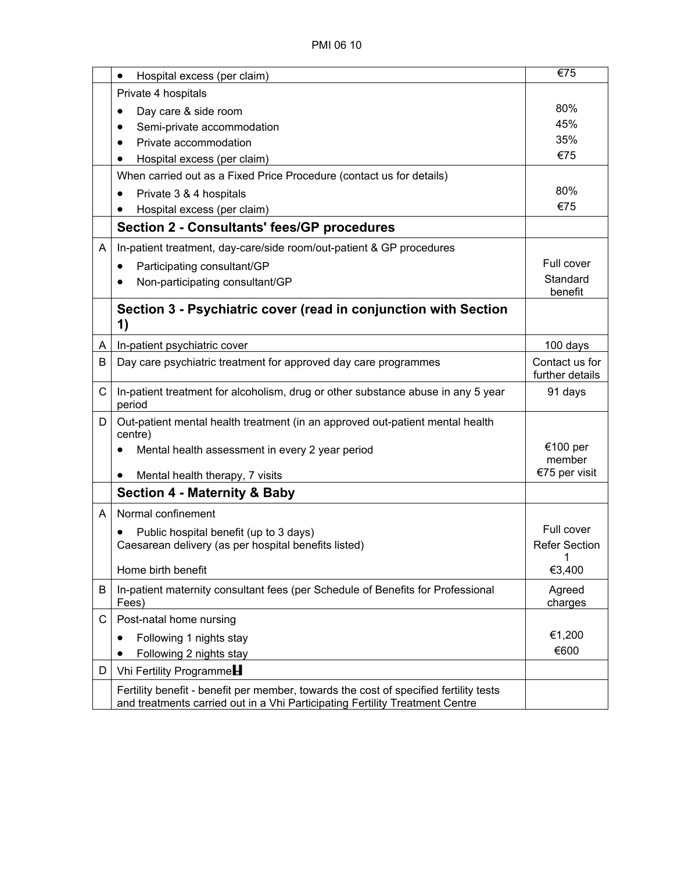|   | Hospital excess (per claim)<br>$\bullet$                                                                                                                              | €75                               |
|---|-----------------------------------------------------------------------------------------------------------------------------------------------------------------------|-----------------------------------|
|   | Private 4 hospitals                                                                                                                                                   |                                   |
|   | Day care & side room                                                                                                                                                  | 80%                               |
|   | Semi-private accommodation                                                                                                                                            | 45%                               |
|   | Private accommodation                                                                                                                                                 | 35%                               |
|   | Hospital excess (per claim)                                                                                                                                           | €75                               |
|   | When carried out as a Fixed Price Procedure (contact us for details)                                                                                                  |                                   |
|   | Private 3 & 4 hospitals<br>$\bullet$                                                                                                                                  | 80%                               |
|   | Hospital excess (per claim)                                                                                                                                           | €75                               |
|   | <b>Section 2 - Consultants' fees/GP procedures</b>                                                                                                                    |                                   |
| A | In-patient treatment, day-care/side room/out-patient & GP procedures                                                                                                  |                                   |
|   | Participating consultant/GP<br>$\bullet$                                                                                                                              | Full cover                        |
|   | Non-participating consultant/GP                                                                                                                                       | Standard<br>benefit               |
|   | Section 3 - Psychiatric cover (read in conjunction with Section<br>1)                                                                                                 |                                   |
| A | In-patient psychiatric cover                                                                                                                                          | 100 days                          |
| B | Day care psychiatric treatment for approved day care programmes                                                                                                       | Contact us for<br>further details |
| C | In-patient treatment for alcoholism, drug or other substance abuse in any 5 year<br>period                                                                            | 91 days                           |
| D | Out-patient mental health treatment (in an approved out-patient mental health<br>centre)                                                                              |                                   |
|   | Mental health assessment in every 2 year period                                                                                                                       | €100 per<br>member                |
|   | Mental health therapy, 7 visits<br>$\bullet$                                                                                                                          | €75 per visit                     |
|   | <b>Section 4 - Maternity &amp; Baby</b>                                                                                                                               |                                   |
| Α | Normal confinement                                                                                                                                                    |                                   |
|   | Public hospital benefit (up to 3 days)                                                                                                                                | Full cover                        |
|   | Caesarean delivery (as per hospital benefits listed)                                                                                                                  | <b>Refer Section</b>              |
|   | Home birth benefit                                                                                                                                                    | $\overline{1}$<br>€3,400          |
| B | In-patient maternity consultant fees (per Schedule of Benefits for Professional<br>Fees)                                                                              | Agreed<br>charges                 |
| С | Post-natal home nursing                                                                                                                                               |                                   |
|   | Following 1 nights stay<br>٠                                                                                                                                          | €1,200                            |
|   | Following 2 nights stay                                                                                                                                               | €600                              |
| D | Vhi Fertility Programme                                                                                                                                               |                                   |
|   | Fertility benefit - benefit per member, towards the cost of specified fertility tests<br>and treatments carried out in a Vhi Participating Fertility Treatment Centre |                                   |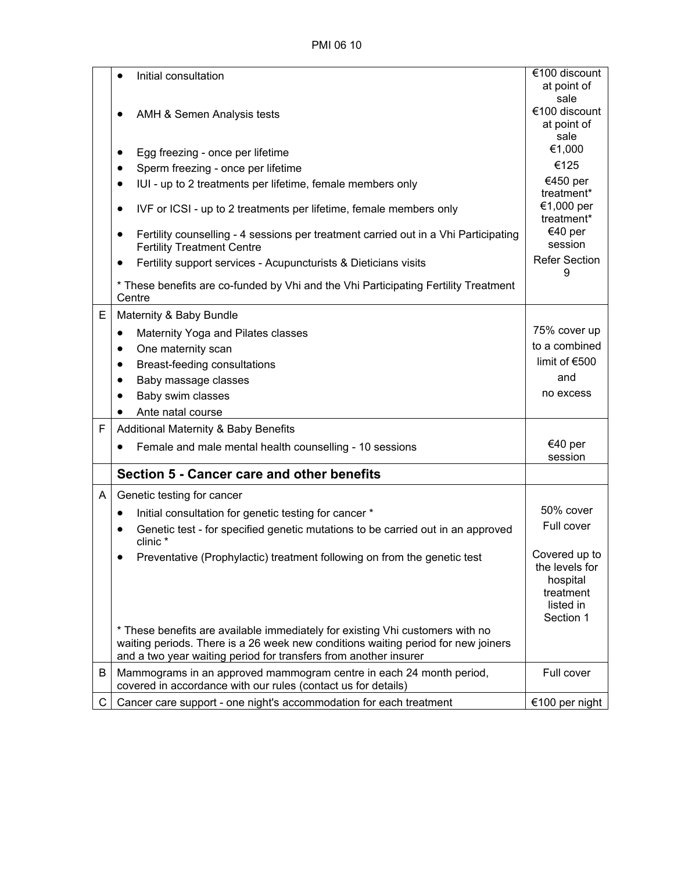PMI 06 10

|   | Initial consultation                                                                                                                                                                                                                   | €100 discount                                                                      |
|---|----------------------------------------------------------------------------------------------------------------------------------------------------------------------------------------------------------------------------------------|------------------------------------------------------------------------------------|
|   |                                                                                                                                                                                                                                        | at point of                                                                        |
|   |                                                                                                                                                                                                                                        | sale<br>€100 discount                                                              |
|   | AMH & Semen Analysis tests                                                                                                                                                                                                             | at point of                                                                        |
|   |                                                                                                                                                                                                                                        | sale                                                                               |
|   | Egg freezing - once per lifetime                                                                                                                                                                                                       | €1,000                                                                             |
|   | Sperm freezing - once per lifetime<br>$\bullet$                                                                                                                                                                                        | €125                                                                               |
|   | IUI - up to 2 treatments per lifetime, female members only                                                                                                                                                                             | €450 per<br>treatment*                                                             |
|   | IVF or ICSI - up to 2 treatments per lifetime, female members only                                                                                                                                                                     | €1,000 per<br>treatment*                                                           |
|   | Fertility counselling - 4 sessions per treatment carried out in a Vhi Participating<br><b>Fertility Treatment Centre</b>                                                                                                               | €40 per<br>session                                                                 |
|   | Fertility support services - Acupuncturists & Dieticians visits                                                                                                                                                                        | <b>Refer Section</b><br>9                                                          |
|   | * These benefits are co-funded by Vhi and the Vhi Participating Fertility Treatment<br>Centre                                                                                                                                          |                                                                                    |
| E | Maternity & Baby Bundle                                                                                                                                                                                                                |                                                                                    |
|   | Maternity Yoga and Pilates classes<br>٠                                                                                                                                                                                                | 75% cover up                                                                       |
|   | One maternity scan<br>$\bullet$                                                                                                                                                                                                        | to a combined                                                                      |
|   | Breast-feeding consultations<br>$\bullet$                                                                                                                                                                                              | limit of €500                                                                      |
|   | Baby massage classes                                                                                                                                                                                                                   | and                                                                                |
|   | Baby swim classes                                                                                                                                                                                                                      | no excess                                                                          |
|   | Ante natal course                                                                                                                                                                                                                      |                                                                                    |
| F | <b>Additional Maternity &amp; Baby Benefits</b>                                                                                                                                                                                        |                                                                                    |
|   | Female and male mental health counselling - 10 sessions                                                                                                                                                                                | €40 per<br>session                                                                 |
|   | Section 5 - Cancer care and other benefits                                                                                                                                                                                             |                                                                                    |
| A | Genetic testing for cancer                                                                                                                                                                                                             |                                                                                    |
|   | Initial consultation for genetic testing for cancer *<br>$\bullet$                                                                                                                                                                     | 50% cover                                                                          |
|   | Genetic test - for specified genetic mutations to be carried out in an approved<br>clinic *                                                                                                                                            | Full cover                                                                         |
|   | Preventative (Prophylactic) treatment following on from the genetic test                                                                                                                                                               | Covered up to<br>the levels for<br>hospital<br>treatment<br>listed in<br>Section 1 |
|   | * These benefits are available immediately for existing Vhi customers with no<br>waiting periods. There is a 26 week new conditions waiting period for new joiners<br>and a two year waiting period for transfers from another insurer |                                                                                    |
| B | Mammograms in an approved mammogram centre in each 24 month period,                                                                                                                                                                    | Full cover                                                                         |
|   | covered in accordance with our rules (contact us for details)                                                                                                                                                                          |                                                                                    |
| С | Cancer care support - one night's accommodation for each treatment                                                                                                                                                                     | €100 per night                                                                     |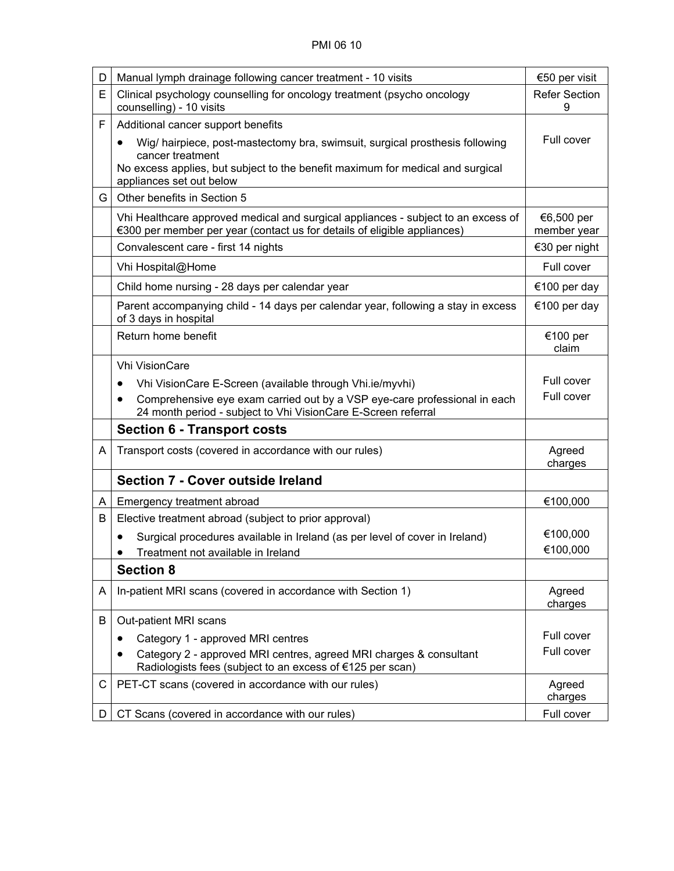| D  | Manual lymph drainage following cancer treatment - 10 visits                                                                                                                                                                | €50 per visit             |
|----|-----------------------------------------------------------------------------------------------------------------------------------------------------------------------------------------------------------------------------|---------------------------|
| E  | Clinical psychology counselling for oncology treatment (psycho oncology<br>counselling) - 10 visits                                                                                                                         | <b>Refer Section</b><br>9 |
| F  | Additional cancer support benefits                                                                                                                                                                                          |                           |
|    | Wig/ hairpiece, post-mastectomy bra, swimsuit, surgical prosthesis following<br>$\bullet$<br>cancer treatment<br>No excess applies, but subject to the benefit maximum for medical and surgical<br>appliances set out below | Full cover                |
| G. | Other benefits in Section 5                                                                                                                                                                                                 |                           |
|    | Vhi Healthcare approved medical and surgical appliances - subject to an excess of<br>€300 per member per year (contact us for details of eligible appliances)                                                               | €6,500 per<br>member year |
|    | Convalescent care - first 14 nights                                                                                                                                                                                         | €30 per night             |
|    | Vhi Hospital@Home                                                                                                                                                                                                           | Full cover                |
|    | Child home nursing - 28 days per calendar year                                                                                                                                                                              | €100 per day              |
|    | Parent accompanying child - 14 days per calendar year, following a stay in excess<br>of 3 days in hospital                                                                                                                  | €100 per day              |
|    | Return home benefit                                                                                                                                                                                                         | €100 per<br>claim         |
|    | <b>Vhi VisionCare</b>                                                                                                                                                                                                       |                           |
|    | Vhi VisionCare E-Screen (available through Vhi.ie/myvhi)                                                                                                                                                                    | Full cover                |
|    | Comprehensive eye exam carried out by a VSP eye-care professional in each<br>٠<br>24 month period - subject to Vhi VisionCare E-Screen referral                                                                             | Full cover                |
|    | <b>Section 6 - Transport costs</b>                                                                                                                                                                                          |                           |
| A  | Transport costs (covered in accordance with our rules)                                                                                                                                                                      | Agreed<br>charges         |
|    | <b>Section 7 - Cover outside Ireland</b>                                                                                                                                                                                    |                           |
| A  | Emergency treatment abroad                                                                                                                                                                                                  | €100,000                  |
| B  | Elective treatment abroad (subject to prior approval)                                                                                                                                                                       |                           |
|    | Surgical procedures available in Ireland (as per level of cover in Ireland)                                                                                                                                                 | €100,000                  |
|    | Treatment not available in Ireland<br>$\bullet$                                                                                                                                                                             | €100,000                  |
|    | <b>Section 8</b>                                                                                                                                                                                                            |                           |
| A  | In-patient MRI scans (covered in accordance with Section 1)                                                                                                                                                                 | Agreed<br>charges         |
| B  | Out-patient MRI scans                                                                                                                                                                                                       |                           |
|    | Category 1 - approved MRI centres<br>$\bullet$                                                                                                                                                                              | Full cover                |
|    | Category 2 - approved MRI centres, agreed MRI charges & consultant<br>Radiologists fees (subject to an excess of €125 per scan)                                                                                             | Full cover                |
| C  | PET-CT scans (covered in accordance with our rules)                                                                                                                                                                         | Agreed<br>charges         |
| D. | CT Scans (covered in accordance with our rules)                                                                                                                                                                             | Full cover                |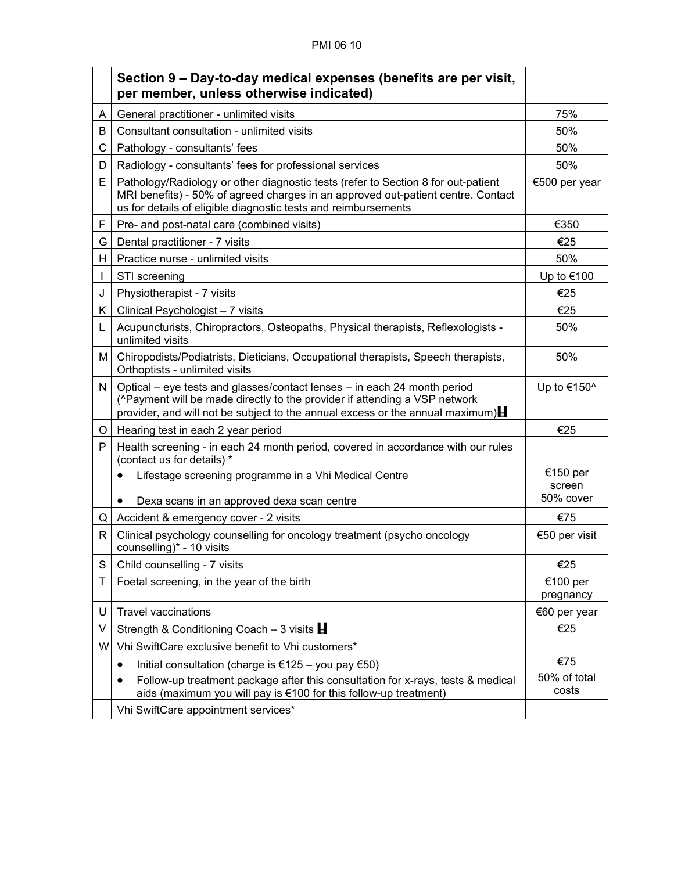## PMI 06 10

|    | Section 9 – Day-to-day medical expenses (benefits are per visit,<br>per member, unless otherwise indicated)                                                                                                                                         |                                 |
|----|-----------------------------------------------------------------------------------------------------------------------------------------------------------------------------------------------------------------------------------------------------|---------------------------------|
| A  | General practitioner - unlimited visits                                                                                                                                                                                                             | 75%                             |
| B  | Consultant consultation - unlimited visits                                                                                                                                                                                                          | 50%                             |
| C  | Pathology - consultants' fees                                                                                                                                                                                                                       | 50%                             |
| D  | Radiology - consultants' fees for professional services                                                                                                                                                                                             | 50%                             |
| E  | Pathology/Radiology or other diagnostic tests (refer to Section 8 for out-patient<br>MRI benefits) - 50% of agreed charges in an approved out-patient centre. Contact<br>us for details of eligible diagnostic tests and reimbursements             | €500 per year                   |
| F  | Pre- and post-natal care (combined visits)                                                                                                                                                                                                          | €350                            |
| G  | Dental practitioner - 7 visits                                                                                                                                                                                                                      | €25                             |
| H. | Practice nurse - unlimited visits                                                                                                                                                                                                                   | 50%                             |
|    | STI screening                                                                                                                                                                                                                                       | Up to €100                      |
| J  | Physiotherapist - 7 visits                                                                                                                                                                                                                          | €25                             |
| K. | Clinical Psychologist - 7 visits                                                                                                                                                                                                                    | €25                             |
| L  | Acupuncturists, Chiropractors, Osteopaths, Physical therapists, Reflexologists -<br>unlimited visits                                                                                                                                                | 50%                             |
| Μ  | Chiropodists/Podiatrists, Dieticians, Occupational therapists, Speech therapists,<br>Orthoptists - unlimited visits                                                                                                                                 | 50%                             |
| N  | Optical – eye tests and glasses/contact lenses – in each 24 month period<br>(^Payment will be made directly to the provider if attending a VSP network<br>provider, and will not be subject to the annual excess or the annual maximum) $\mathbf H$ | Up to €150 $^{\circ}$           |
| O  | Hearing test in each 2 year period                                                                                                                                                                                                                  | €25                             |
| P  | Health screening - in each 24 month period, covered in accordance with our rules<br>(contact us for details) *                                                                                                                                      |                                 |
|    | Lifestage screening programme in a Vhi Medical Centre<br>Dexa scans in an approved dexa scan centre                                                                                                                                                 | €150 per<br>screen<br>50% cover |
| Q  | Accident & emergency cover - 2 visits                                                                                                                                                                                                               | €75                             |
| R  | Clinical psychology counselling for oncology treatment (psycho oncology<br>counselling)* - 10 visits                                                                                                                                                | €50 per visit                   |
| S  | Child counselling - 7 visits                                                                                                                                                                                                                        | €25                             |
| т  | Foetal screening, in the year of the birth                                                                                                                                                                                                          | €100 per<br>pregnancy           |
| U  | <b>Travel vaccinations</b>                                                                                                                                                                                                                          | €60 per year                    |
| V  | Strength & Conditioning Coach $-3$ visits <b>H</b>                                                                                                                                                                                                  | €25                             |
| W  | Vhi SwiftCare exclusive benefit to Vhi customers*                                                                                                                                                                                                   |                                 |
|    | Initial consultation (charge is €125 – you pay €50)<br>$\bullet$                                                                                                                                                                                    | €75                             |
|    | Follow-up treatment package after this consultation for x-rays, tests & medical<br>aids (maximum you will pay is €100 for this follow-up treatment)                                                                                                 | 50% of total<br>costs           |
|    | Vhi SwiftCare appointment services*                                                                                                                                                                                                                 |                                 |